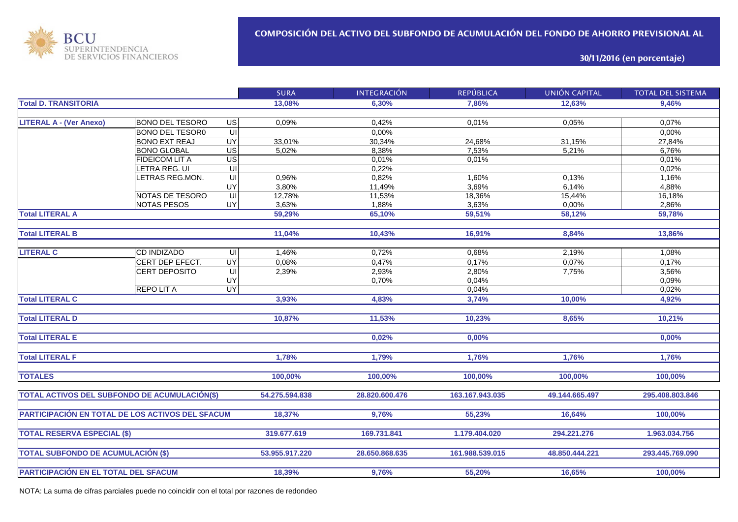

**30/11/2016 (en porcentaje)**

|                                                  |                        |                         | <b>SURA</b>    | <b>INTEGRACIÓN</b> | <b>REPÚBLICA</b> | <b>UNIÓN CAPITAL</b> | <b>TOTAL DEL SISTEMA</b> |
|--------------------------------------------------|------------------------|-------------------------|----------------|--------------------|------------------|----------------------|--------------------------|
| <b>Total D. TRANSITORIA</b>                      |                        |                         | 13,08%         | 6.30%              | 7.86%            | 12,63%               | 9,46%                    |
|                                                  |                        |                         |                |                    |                  |                      |                          |
| <b>LITERAL A - (Ver Anexo)</b>                   | <b>BONO DEL TESORO</b> | $\overline{G}$          | 0,09%          | 0,42%              | 0.01%            | 0,05%                | 0,07%                    |
|                                                  | <b>BONO DEL TESOR0</b> | $\overline{U}$          |                | 0,00%              |                  |                      | 0,00%                    |
|                                                  | <b>BONO EXT REAJ</b>   | $\overline{\mathsf{C}}$ | 33,01%         | 30,34%             | 24,68%           | 31,15%               | 27,84%                   |
|                                                  | <b>BONO GLOBAL</b>     | US                      | 5,02%          | 8,38%              | 7,53%            | 5,21%                | 6,76%                    |
|                                                  | FIDEICOM LIT A         | $\overline{US}$         |                | 0,01%              | 0,01%            |                      | 0,01%                    |
|                                                  | LETRA REG. UI          | UI                      |                | 0,22%              |                  |                      | 0,02%                    |
|                                                  | LETRAS REG.MON.        | UI                      | 0,96%          | 0,82%              | 1,60%            | 0,13%                | 1,16%                    |
|                                                  |                        | <b>UY</b>               | 3,80%          | 11,49%             | 3,69%            | 6,14%                | 4,88%                    |
|                                                  | NOTAS DE TESORO        | $\overline{\mathsf{U}}$ | 12,78%         | 11,53%             | 18,36%           | 15,44%               | 16,18%                   |
|                                                  | <b>NOTAS PESOS</b>     | <b>UY</b>               | 3,63%          | 1,88%              | 3,63%            | 0,00%                | 2,86%                    |
| <b>Total LITERAL A</b>                           |                        |                         | 59,29%         | 65,10%             | 59,51%           | 58,12%               | 59,78%                   |
|                                                  |                        |                         |                |                    |                  |                      |                          |
| <b>Total LITERAL B</b>                           |                        |                         | 11,04%         | 10,43%             | 16,91%           | 8,84%                | 13,86%                   |
|                                                  |                        |                         |                |                    |                  |                      |                          |
| <b>LITERAL C</b>                                 | CD INDIZADO            | UI                      | 1,46%          | 0,72%              | 0,68%            | 2,19%                | 1,08%                    |
|                                                  | CERT DEP EFECT.        | <b>UY</b>               | 0,08%          | 0,47%              | 0,17%            | 0,07%                | 0,17%                    |
|                                                  | CERT DEPOSITO          | UI                      | 2,39%          | 2,93%              | 2,80%            | 7,75%                | 3,56%                    |
|                                                  |                        | UY                      |                | 0,70%              | 0,04%            |                      | 0,09%                    |
|                                                  | <b>REPOLITA</b>        | <b>UY</b>               |                |                    | 0,04%            |                      | 0,02%                    |
| <b>Total LITERAL C</b>                           |                        |                         | 3,93%          | 4,83%              | 3,74%            | 10,00%               | 4,92%                    |
|                                                  |                        |                         |                |                    |                  |                      |                          |
| <b>Total LITERAL D</b>                           |                        |                         | 10,87%         | 11,53%             | 10,23%           | 8,65%                | 10,21%                   |
|                                                  |                        |                         |                |                    |                  |                      |                          |
| <b>Total LITERAL E</b>                           |                        |                         |                | 0,02%              | 0,00%            |                      | 0,00%                    |
| <b>Total LITERAL F</b>                           |                        |                         | 1,78%          | 1,79%              | 1,76%            | 1,76%                | 1,76%                    |
|                                                  |                        |                         |                |                    |                  |                      |                          |
| <b>TOTALES</b>                                   |                        |                         | 100,00%        | 100,00%            | 100,00%          | 100,00%              | 100,00%                  |
|                                                  |                        |                         |                |                    |                  |                      |                          |
| TOTAL ACTIVOS DEL SUBFONDO DE ACUMULACIÓN(\$)    |                        |                         | 54.275.594.838 | 28.820.600.476     | 163.167.943.035  | 49.144.665.497       | 295.408.803.846          |
|                                                  |                        |                         |                |                    |                  |                      |                          |
| PARTICIPACIÓN EN TOTAL DE LOS ACTIVOS DEL SFACUM |                        |                         | 18,37%         | 9,76%              | 55,23%           | 16,64%               | 100,00%                  |
|                                                  |                        |                         |                |                    |                  |                      |                          |
| <b>TOTAL RESERVA ESPECIAL (\$)</b>               |                        |                         | 319.677.619    | 169.731.841        | 1.179.404.020    | 294.221.276          | 1.963.034.756            |
| <b>TOTAL SUBFONDO DE ACUMULACIÓN (\$)</b>        |                        |                         | 53.955.917.220 | 28.650.868.635     | 161.988.539.015  | 48.850.444.221       | 293.445.769.090          |
|                                                  |                        |                         |                |                    |                  |                      |                          |
| PARTICIPACIÓN EN EL TOTAL DEL SFACUM             |                        |                         | 18,39%         | 9,76%              | 55,20%           | 16,65%               | 100,00%                  |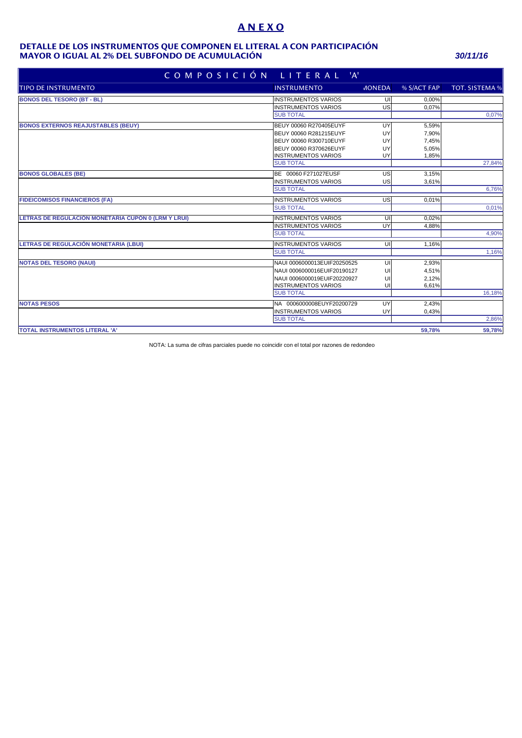# **A N E X O**

### **MAYOR O IGUAL AL 2% DEL SUBFONDO DE ACUMULACIÓN** *30/11/16* **DETALLE DE LOS INSTRUMENTOS QUE COMPONEN EL LITERAL A CON PARTICIPACIÓN**

| COMPOSICIÓN LITERAL 'A'                             |                             |               |             |                       |  |  |  |
|-----------------------------------------------------|-----------------------------|---------------|-------------|-----------------------|--|--|--|
| <b>TIPO DE INSTRUMENTO</b>                          | <b>INSTRUMENTO</b>          | <b>MONEDA</b> | % S/ACT FAP | <b>TOT. SISTEMA %</b> |  |  |  |
| <b>BONOS DEL TESORO (BT - BL)</b>                   | <b>INSTRUMENTOS VARIOS</b>  | UI            | 0,00%       |                       |  |  |  |
|                                                     | <b>INSTRUMENTOS VARIOS</b>  | US            | 0,07%       |                       |  |  |  |
|                                                     | <b>SUB TOTAL</b>            |               |             | 0,07%                 |  |  |  |
| <b>BONOS EXTERNOS REAJUSTABLES (BEUY)</b>           | BEUY 00060 R270405EUYF      | UY            | 5,59%       |                       |  |  |  |
|                                                     | BEUY 00060 R281215EUYF      | UY            | 7,90%       |                       |  |  |  |
|                                                     | BEUY 00060 R300710EUYF      | UY            | 7,45%       |                       |  |  |  |
|                                                     | BEUY 00060 R370626EUYF      | UY            | 5,05%       |                       |  |  |  |
|                                                     | <b>IINSTRUMENTOS VARIOS</b> | UY            | 1,85%       |                       |  |  |  |
|                                                     | <b>SUB TOTAL</b>            |               |             | 27,84%                |  |  |  |
| <b>BONOS GLOBALES (BE)</b>                          | BE 00060 F271027EUSF        | US            | 3,15%       |                       |  |  |  |
|                                                     | <b>INSTRUMENTOS VARIOS</b>  | US            | 3,61%       |                       |  |  |  |
|                                                     | <b>SUB TOTAL</b>            |               |             | 6,76%                 |  |  |  |
| <b>FIDEICOMISOS FINANCIEROS (FA)</b>                | <b>INSTRUMENTOS VARIOS</b>  | <b>US</b>     | 0.01%       |                       |  |  |  |
|                                                     | <b>SUB TOTAL</b>            |               |             | 0,01%                 |  |  |  |
| LETRAS DE REGULACIÓN MONETARIA CUPÓN 0 (LRM Y LRUI) | <b>INSTRUMENTOS VARIOS</b>  | UI            | 0.02%       |                       |  |  |  |
|                                                     | <b>INSTRUMENTOS VARIOS</b>  | UY            | 4,88%       |                       |  |  |  |
|                                                     | <b>SUB TOTAL</b>            |               |             | 4,90%                 |  |  |  |
| LETRAS DE REGULACIÓN MONETARIA (LBUI)               | <b>INSTRUMENTOS VARIOS</b>  | UI            | 1.16%       |                       |  |  |  |
|                                                     | <b>SUB TOTAL</b>            |               |             | 1,16%                 |  |  |  |
| <b>NOTAS DEL TESORO (NAUI)</b>                      | NAUI 0006000013EUIF20250525 | UI            | 2,93%       |                       |  |  |  |
|                                                     | NAUI 0006000016EUIF20190127 | UI            | 4,51%       |                       |  |  |  |
|                                                     | NAUI 0006000019EUIF20220927 | UI            | 2,12%       |                       |  |  |  |
|                                                     | <b>INSTRUMENTOS VARIOS</b>  | UI            | 6,61%       |                       |  |  |  |
|                                                     | <b>SUB TOTAL</b>            |               |             | 16,18%                |  |  |  |
| <b>NOTAS PESOS</b>                                  | NA 0006000008EUYF20200729   | UY            | 2.43%       |                       |  |  |  |
|                                                     | <b>INSTRUMENTOS VARIOS</b>  | UY            | 0,43%       |                       |  |  |  |
|                                                     | <b>SUB TOTAL</b>            |               |             | 2,86%                 |  |  |  |
| <b>TOTAL INSTRUMENTOS LITERAL 'A'</b>               |                             |               | 59.78%      | 59,78%                |  |  |  |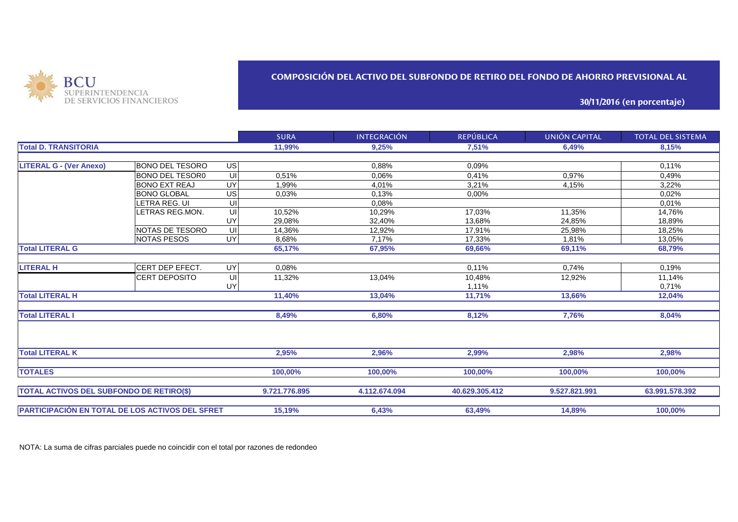

### **COMPOSICIÓN DEL ACTIVO DEL SUBFONDO DE RETIRO DEL FONDO DE AHORRO PREVISIONAL AL**

**30/11/2016 (en porcentaje)**

|                                                 |                        |    | <b>SURA</b>   | <b>INTEGRACIÓN</b> | <b>REPÚBLICA</b> | UNIÓN CAPITAL | <b>TOTAL DEL SISTEMA</b> |
|-------------------------------------------------|------------------------|----|---------------|--------------------|------------------|---------------|--------------------------|
| <b>Total D. TRANSITORIA</b>                     |                        |    | 11,99%        | 9,25%              | 7,51%            | 6,49%         | 8,15%                    |
|                                                 |                        |    |               |                    |                  |               |                          |
| <b>LITERAL G - (Ver Anexo)</b>                  | <b>BONO DEL TESORO</b> | US |               | 0,88%              | 0,09%            |               | 0.11%                    |
|                                                 | <b>BONO DEL TESOR0</b> | UI | 0,51%         | 0.06%              | 0,41%            | 0,97%         | 0,49%                    |
|                                                 | <b>BONO EXT REAJ</b>   | UY | 1.99%         | 4.01%              | 3.21%            | 4,15%         | 3,22%                    |
|                                                 | <b>BONO GLOBAL</b>     | US | 0,03%         | 0,13%              | 0,00%            |               | 0,02%                    |
|                                                 | LETRA REG. UI          | UI |               | 0,08%              |                  |               | 0,01%                    |
|                                                 | LETRAS REG.MON.        | UI | 10,52%        | 10,29%             | 17,03%           | 11,35%        | 14,76%                   |
|                                                 |                        | UY | 29,08%        | 32,40%             | 13,68%           | 24,85%        | 18,89%                   |
|                                                 | <b>NOTAS DE TESORO</b> | UI | 14.36%        | 12.92%             | 17.91%           | 25.98%        | 18.25%                   |
|                                                 | <b>NOTAS PESOS</b>     | UY | 8,68%         | 7.17%              | 17.33%           | 1.81%         | 13,05%                   |
| <b>Total LITERAL G</b>                          |                        |    | 65,17%        | 67,95%             | 69,66%           | 69,11%        | 68,79%                   |
|                                                 |                        |    |               |                    |                  |               |                          |
| <b>LITERAL H</b>                                | CERT DEP EFECT.        | UY | 0,08%         |                    | 0.11%            | 0,74%         | 0.19%                    |
|                                                 | <b>CERT DEPOSITO</b>   | UI | 11,32%        | 13,04%             | 10,48%           | 12,92%        | 11,14%                   |
|                                                 |                        | UY |               |                    | 1,11%            |               | 0,71%                    |
| <b>Total LITERAL H</b>                          |                        |    | 11,40%        | 13,04%             | 11,71%           | 13,66%        | 12,04%                   |
| <b>Total LITERAL I</b>                          |                        |    | 8,49%         | 6,80%              | 8,12%            | 7,76%         | 8,04%                    |
| <b>Total LITERAL K</b>                          |                        |    | 2,95%         | 2,96%              | 2,99%            | 2,98%         | 2,98%                    |
|                                                 |                        |    |               |                    |                  |               |                          |
| <b>TOTALES</b>                                  |                        |    | 100,00%       | 100,00%            | 100,00%          | 100,00%       | 100,00%                  |
| <b>TOTAL ACTIVOS DEL SUBFONDO DE RETIRO(\$)</b> |                        |    | 9.721.776.895 | 4.112.674.094      | 40.629.305.412   | 9.527.821.991 | 63.991.578.392           |
| PARTICIPACIÓN EN TOTAL DE LOS ACTIVOS DEL SFRET |                        |    | 15,19%        | 6,43%              | 63,49%           | 14,89%        | 100,00%                  |